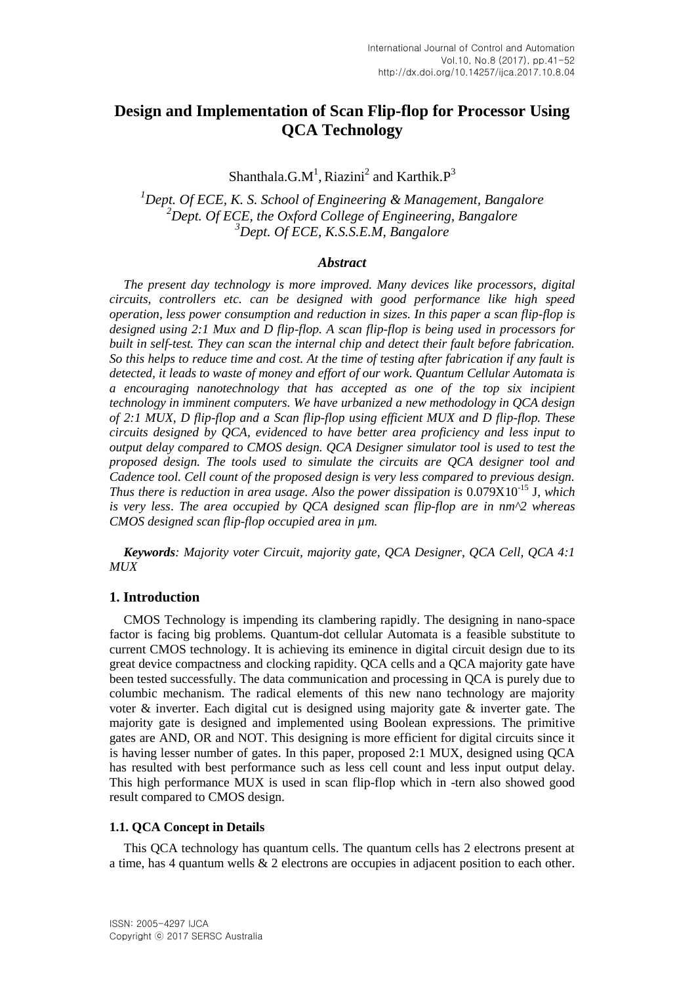# **Design and Implementation of Scan Flip-flop for Processor Using QCA Technology**

Shanthala.G.M<sup>1</sup>, Riazini<sup>2</sup> and Karthik. $P<sup>3</sup>$ 

*<sup>1</sup>Dept. Of ECE, K. S. School of Engineering & Management, Bangalore <sup>2</sup>Dept. Of ECE, the Oxford College of Engineering, Bangalore <sup>3</sup>Dept. Of ECE, K.S.S.E.M, Bangalore*

#### *Abstract*

*The present day technology is more improved. Many devices like processors, digital circuits, controllers etc. can be designed with good performance like high speed operation, less power consumption and reduction in sizes. In this paper a scan flip-flop is designed using 2:1 Mux and D flip-flop. A scan flip-flop is being used in processors for built in self-test. They can scan the internal chip and detect their fault before fabrication. So this helps to reduce time and cost. At the time of testing after fabrication if any fault is detected, it leads to waste of money and effort of our work. Quantum Cellular Automata is a encouraging nanotechnology that has accepted as one of the top six incipient technology in imminent computers. We have urbanized a new methodology in QCA design of 2:1 MUX, D flip-flop and a Scan flip-flop using efficient MUX and D flip-flop. These circuits designed by QCA, evidenced to have better area proficiency and less input to output delay compared to CMOS design. QCA Designer simulator tool is used to test the proposed design. The tools used to simulate the circuits are QCA designer tool and Cadence tool. Cell count of the proposed design is very less compared to previous design. Thus there is reduction in area usage. Also the power dissipation is*  $0.079X10^{-15}$  J, *which is very less*. *The area occupied by QCA designed scan flip-flop are in nm^2 whereas CMOS designed scan flip-flop occupied area in µm.*

*Keywords: Majority voter Circuit, majority gate, QCA Designer, QCA Cell, QCA 4:1 MUX*

#### **1. Introduction**

CMOS Technology is impending its clambering rapidly. The designing in nano-space factor is facing big problems. Quantum-dot cellular Automata is a feasible substitute to current CMOS technology. It is achieving its eminence in digital circuit design due to its great device compactness and clocking rapidity. QCA cells and a QCA majority gate have been tested successfully. The data communication and processing in QCA is purely due to columbic mechanism. The radical elements of this new nano technology are majority voter  $\&$  inverter. Each digital cut is designed using majority gate  $\&$  inverter gate. The majority gate is designed and implemented using Boolean expressions. The primitive gates are AND, OR and NOT. This designing is more efficient for digital circuits since it is having lesser number of gates. In this paper, proposed 2:1 MUX, designed using QCA has resulted with best performance such as less cell count and less input output delay. This high performance MUX is used in scan flip-flop which in -tern also showed good result compared to CMOS design.

#### **1.1. QCA Concept in Details**

This QCA technology has quantum cells. The quantum cells has 2 electrons present at a time, has 4 quantum wells & 2 electrons are occupies in adjacent position to each other.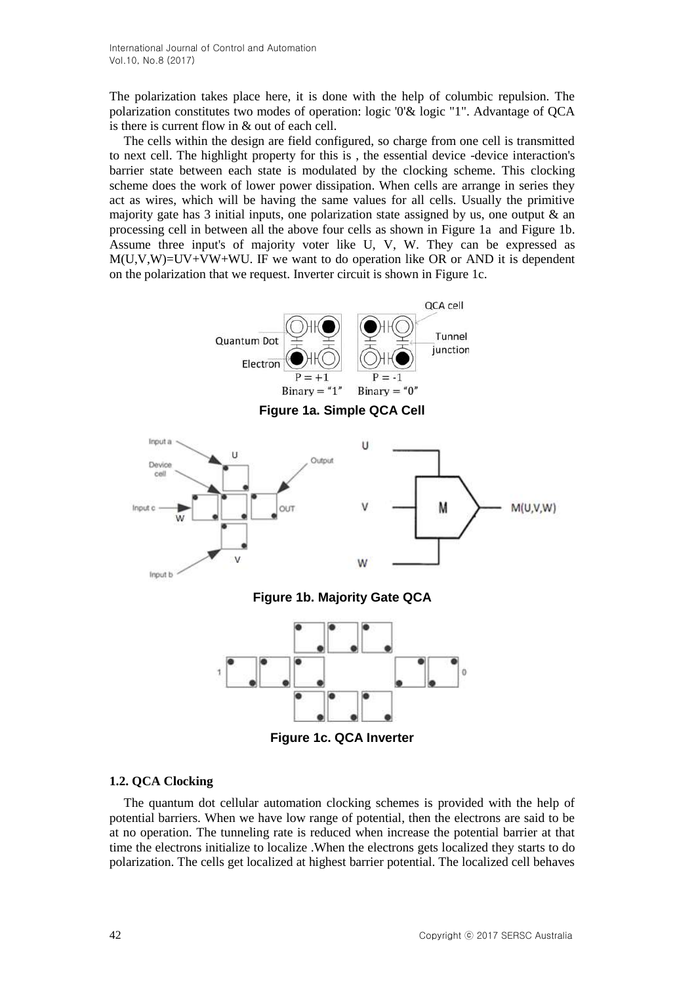The polarization takes place here, it is done with the help of columbic repulsion. The polarization constitutes two modes of operation: logic '0'& logic "1". Advantage of QCA is there is current flow in & out of each cell.

The cells within the design are field configured, so charge from one cell is transmitted to next cell. The highlight property for this is , the essential device -device interaction's barrier state between each state is modulated by the clocking scheme. This clocking scheme does the work of lower power dissipation. When cells are arrange in series they act as wires, which will be having the same values for all cells. Usually the primitive majority gate has 3 initial inputs, one polarization state assigned by us, one output  $\&$  an processing cell in between all the above four cells as shown in Figure 1a and Figure 1b. Assume three input's of majority voter like U, V, W. They can be expressed as  $M(U,V,W)=UV+VW+WU$ . IF we want to do operation like OR or AND it is dependent on the polarization that we request. Inverter circuit is shown in Figure 1c.



**Figure 1c. QCA Inverter**

#### **1.2. QCA Clocking**

The quantum dot cellular automation clocking schemes is provided with the help of potential barriers. When we have low range of potential, then the electrons are said to be at no operation. The tunneling rate is reduced when increase the potential barrier at that time the electrons initialize to localize .When the electrons gets localized they starts to do polarization. The cells get localized at highest barrier potential. The localized cell behaves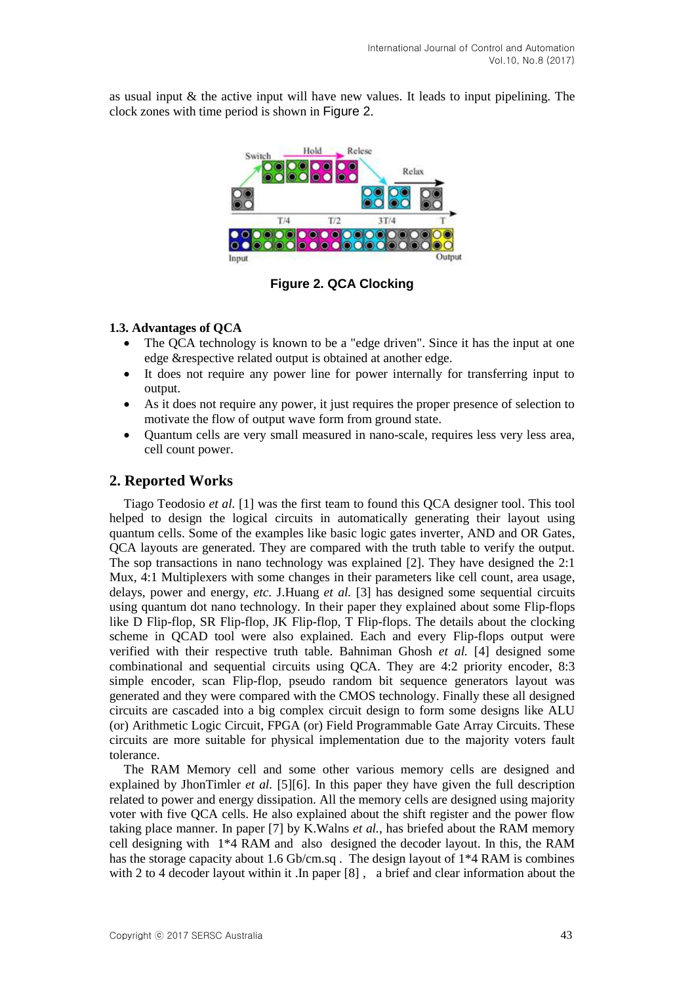as usual input  $\&$  the active input will have new values. It leads to input pipelining. The clock zones with time period is shown in [Figure 2](#page-2-0).



**Figure 2. QCA Clocking**

#### <span id="page-2-0"></span>**1.3. Advantages of QCA**

- The QCA technology is known to be a "edge driven". Since it has the input at one edge &respective related output is obtained at another edge.
- It does not require any power line for power internally for transferring input to output.
- As it does not require any power, it just requires the proper presence of selection to motivate the flow of output wave form from ground state.
- Quantum cells are very small measured in nano-scale, requires less very less area, cell count power.

## **2. Reported Works**

Tiago Teodosio *et al.* [1] was the first team to found this QCA designer tool. This tool helped to design the logical circuits in automatically generating their layout using quantum cells. Some of the examples like basic logic gates inverter, AND and OR Gates, QCA layouts are generated. They are compared with the truth table to verify the output. The sop transactions in nano technology was explained [2]. They have designed the 2:1 Mux, 4:1 Multiplexers with some changes in their parameters like cell count, area usage, delays, power and energy, *etc.* J.Huang *et al.* [3] has designed some sequential circuits using quantum dot nano technology. In their paper they explained about some Flip-flops like D Flip-flop, SR Flip-flop, JK Flip-flop, T Flip-flops. The details about the clocking scheme in QCAD tool were also explained. Each and every Flip-flops output were verified with their respective truth table. Bahniman Ghosh *et al.* [4] designed some combinational and sequential circuits using QCA. They are 4:2 priority encoder, 8:3 simple encoder, scan Flip-flop, pseudo random bit sequence generators layout was generated and they were compared with the CMOS technology. Finally these all designed circuits are cascaded into a big complex circuit design to form some designs like ALU (or) Arithmetic Logic Circuit, FPGA (or) Field Programmable Gate Array Circuits. These circuits are more suitable for physical implementation due to the majority voters fault tolerance.

The RAM Memory cell and some other various memory cells are designed and explained by JhonTimler *et al.* [5][6]. In this paper they have given the full description related to power and energy dissipation. All the memory cells are designed using majority voter with five QCA cells. He also explained about the shift register and the power flow taking place manner. In paper [7] by K.Walns *et al.*, has briefed about the RAM memory cell designing with 1\*4 RAM and also designed the decoder layout. In this, the RAM has the storage capacity about 1.6 Gb/cm.sq. The design layout of  $1*4$  RAM is combines with 2 to 4 decoder layout within it .In paper [8] , a brief and clear information about the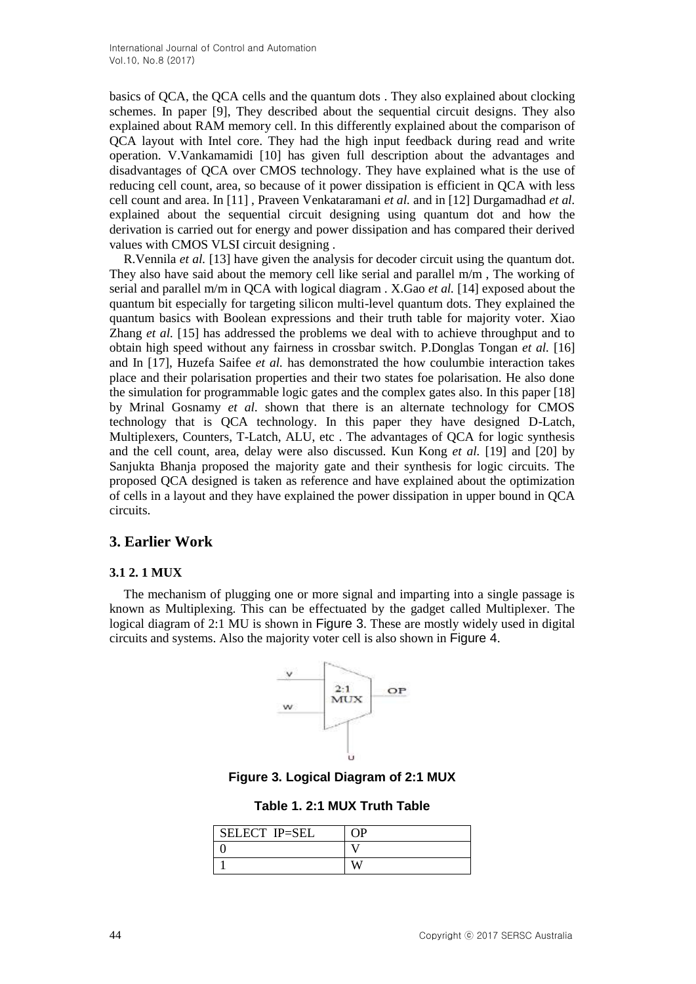basics of QCA, the QCA cells and the quantum dots . They also explained about clocking schemes. In paper [9], They described about the sequential circuit designs. They also explained about RAM memory cell. In this differently explained about the comparison of QCA layout with Intel core. They had the high input feedback during read and write operation. V.Vankamamidi [10] has given full description about the advantages and disadvantages of QCA over CMOS technology. They have explained what is the use of reducing cell count, area, so because of it power dissipation is efficient in QCA with less cell count and area. In [11] , Praveen Venkataramani *et al.* and in [12] Durgamadhad *et al.* explained about the sequential circuit designing using quantum dot and how the derivation is carried out for energy and power dissipation and has compared their derived values with CMOS VLSI circuit designing .

R.Vennila *et al.* [13] have given the analysis for decoder circuit using the quantum dot. They also have said about the memory cell like serial and parallel m/m , The working of serial and parallel m/m in QCA with logical diagram . X.Gao *et al.* [14] exposed about the quantum bit especially for targeting silicon multi-level quantum dots. They explained the quantum basics with Boolean expressions and their truth table for majority voter. Xiao Zhang *et al.* [15] has addressed the problems we deal with to achieve throughput and to obtain high speed without any fairness in crossbar switch. P.Donglas Tongan *et al.* [16] and In [17], Huzefa Saifee *et al.* has demonstrated the how coulumbie interaction takes place and their polarisation properties and their two states foe polarisation. He also done the simulation for programmable logic gates and the complex gates also. In this paper [18] by Mrinal Gosnamy *et al.* shown that there is an alternate technology for CMOS technology that is QCA technology. In this paper they have designed D-Latch, Multiplexers, Counters, T-Latch, ALU, etc . The advantages of QCA for logic synthesis and the cell count, area, delay were also discussed. Kun Kong *et al.* [19] and [20] by Sanjukta Bhanja proposed the majority gate and their synthesis for logic circuits. The proposed QCA designed is taken as reference and have explained about the optimization of cells in a layout and they have explained the power dissipation in upper bound in QCA circuits.

# **3. Earlier Work**

## **3.1 2. 1 MUX**

The mechanism of plugging one or more signal and imparting into a single passage is known as Multiplexing. This can be effectuated by the gadget called Multiplexer. The logical diagram of 2:1 MU is shown in [Figure 3](#page-3-0). These are mostly widely used in digital circuits and systems. Also the majority voter cell is also shown in [Figure 4](#page-4-0).



**Figure 3. Logical Diagram of 2:1 MUX**

|  |  |  |  |  | Table 1. 2:1 MUX Truth Table |
|--|--|--|--|--|------------------------------|
|--|--|--|--|--|------------------------------|

<span id="page-3-0"></span>

| SELECT IP=SEL | ΛP |
|---------------|----|
|               |    |
|               |    |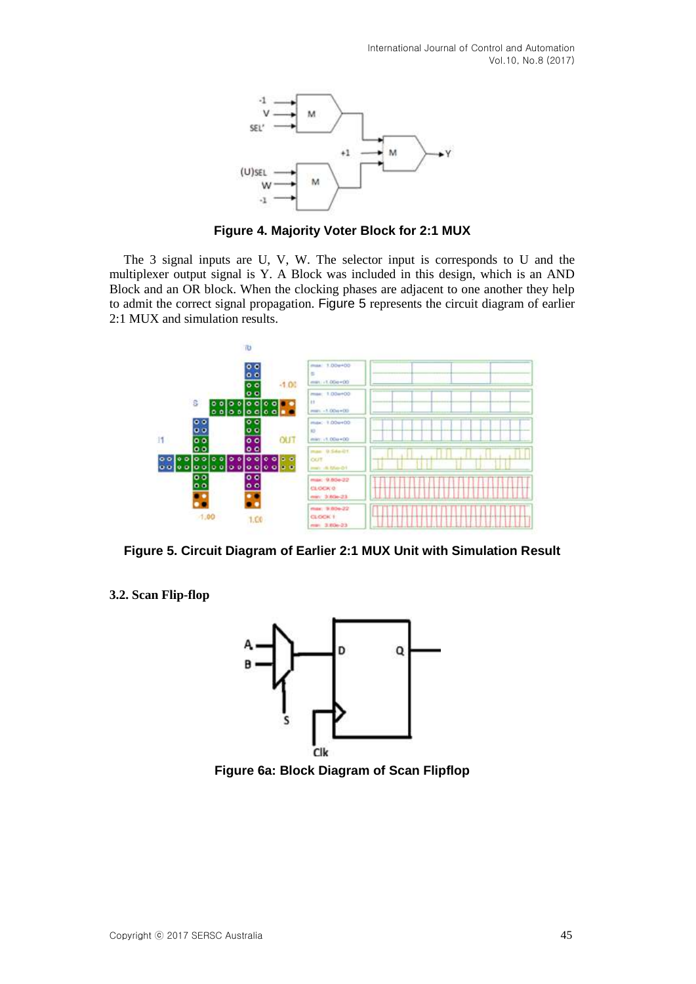

**Figure 4. Majority Voter Block for 2:1 MUX**

<span id="page-4-0"></span>The 3 signal inputs are U, V, W. The selector input is corresponds to U and the multiplexer output signal is Y. A Block was included in this design, which is an AND Block and an OR block. When the clocking phases are adjacent to one another they help to admit the correct signal propagation. [Figure 5](#page-4-1) represents the circuit diagram of earlier 2:1 MUX and simulation results.



<span id="page-4-1"></span>**Figure 5. Circuit Diagram of Earlier 2:1 MUX Unit with Simulation Result**

**3.2. Scan Flip-flop**



<span id="page-4-2"></span>**Figure 6a: Block Diagram of Scan Flipflop**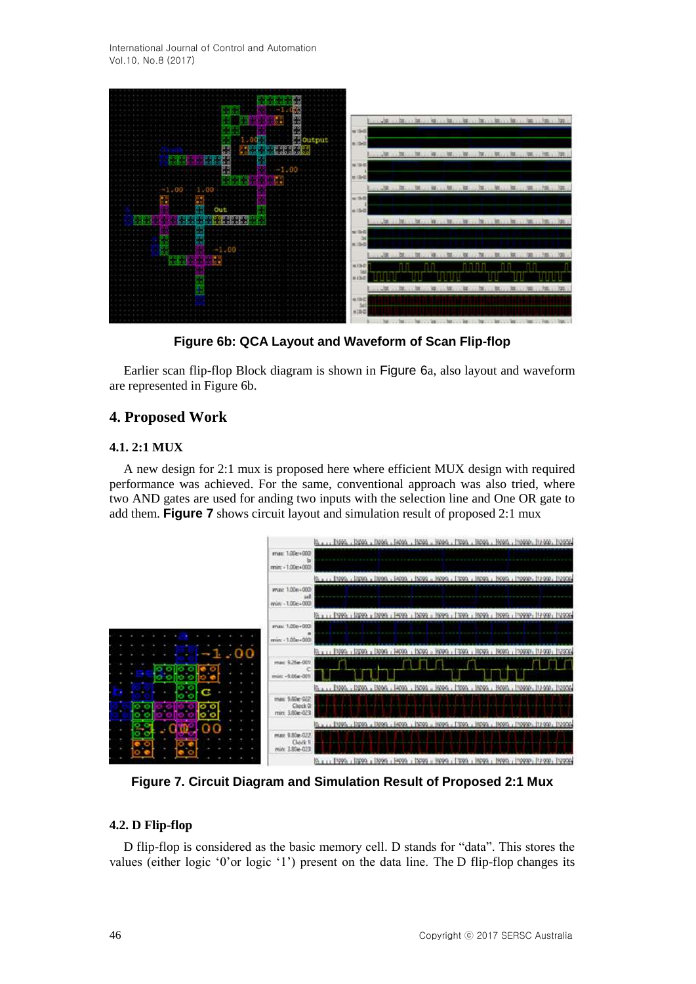International Journal of Control and Automation Vol.10, No.8 (2017)



**Figure 6b: QCA Layout and Waveform of Scan Flip-flop**

Earlier scan flip-flop Block diagram is shown in [Figure 6](#page-4-2)a, also layout and waveform are represented in Figure 6b.

### **4. Proposed Work**

#### **4.1. 2:1 MUX**

A new design for 2:1 mux is proposed here where efficient MUX design with required performance was achieved. For the same, conventional approach was also tried, where two AND gates are used for anding two inputs with the selection line and One OR gate to add them. **[Figure 7](#page-5-0)** shows circuit layout and simulation result of proposed 2:1 mux



<span id="page-5-0"></span>**Figure 7. Circuit Diagram and Simulation Result of Proposed 2:1 Mux**

#### **4.2. D Flip-flop**

D flip-flop is considered as the basic memory cell. D stands for "data". This stores the values (either logic "0"or logic "1") present on the data line. The D flip-flop changes its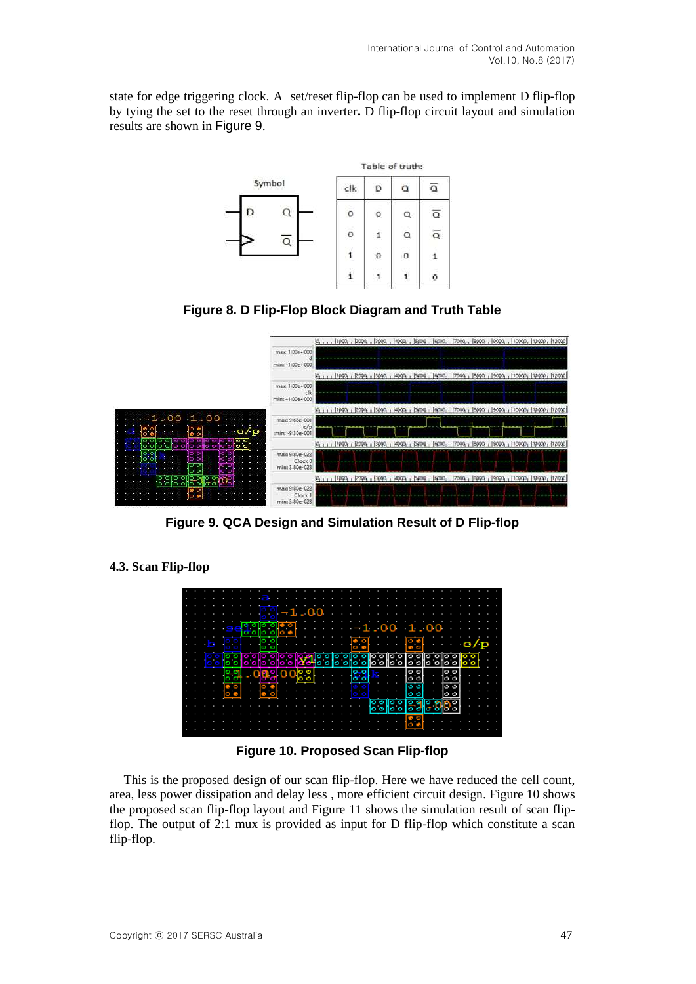state for edge triggering clock. A set/reset flip-flop can be used to implement D flip-flop by tying the set to the reset through an inverter**.** D flip-flop circuit layout and simulation results are shown in [Figure 9](#page-6-0).



**Figure 8. D Flip-Flop Block Diagram and Truth Table**



**Figure 9. QCA Design and Simulation Result of D Flip-flop**

## <span id="page-6-0"></span>**4.3. Scan Flip-flop**



**Figure 10. Proposed Scan Flip-flop**

<span id="page-6-1"></span>This is the proposed design of our scan flip-flop. Here we have reduced the cell count, area, less power dissipation and delay less , more efficient circuit design. [Figure 10](#page-6-1) shows the proposed scan flip-flop layout and [Figure 11](#page-7-0) shows the simulation result of scan flipflop. The output of 2:1 mux is provided as input for D flip-flop which constitute a scan flip-flop.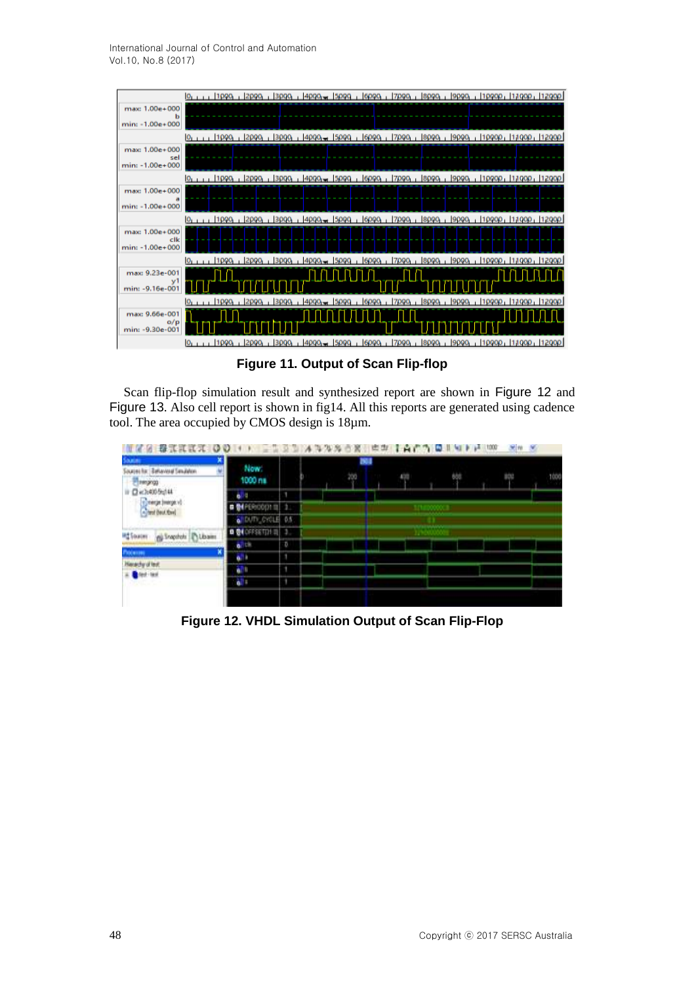International Journal of Control and Automation Vol.10, No.8 (2017)



**Figure 11. Output of Scan Flip-flop**

<span id="page-7-0"></span>Scan flip-flop simulation result and synthesized report are shown in [Figure 12](#page-7-1) and [Figure 13](#page-8-0). Also cell report is shown in fig14. All this reports are generated using cadence tool. The area occupied by CMOS design is 18µm.

| <b>Source</b><br>Behaviour Senubition<br><b>FIRSTAND</b>  | Now:<br>1000 ms  |     |  | 804<br>200 |  |  |  | 1000 |
|-----------------------------------------------------------|------------------|-----|--|------------|--|--|--|------|
| <b>Q</b> <2+005g(4)<br>и                                  | н                | ٠   |  |            |  |  |  |      |
| center (marge v)                                          |                  | n   |  |            |  |  |  |      |
|                                                           | <b>MTV_CYCLE</b> | 0.5 |  |            |  |  |  |      |
| <b>PC SOURCES</b><br><b>CLOSHI</b><br><b>CO</b> Shapshots | <b>EXECUTIVE</b> |     |  |            |  |  |  |      |
|                                                           | ъ.<br>a          | D   |  |            |  |  |  |      |
| Patenni                                                   | ñ                | ٦   |  |            |  |  |  |      |
| archy of last<br><b>A</b> British<br><b>NEVE</b>          |                  | ٠   |  |            |  |  |  |      |
|                                                           | u.<br>ä          | ٠   |  |            |  |  |  |      |

<span id="page-7-1"></span>**Figure 12. VHDL Simulation Output of Scan Flip-Flop**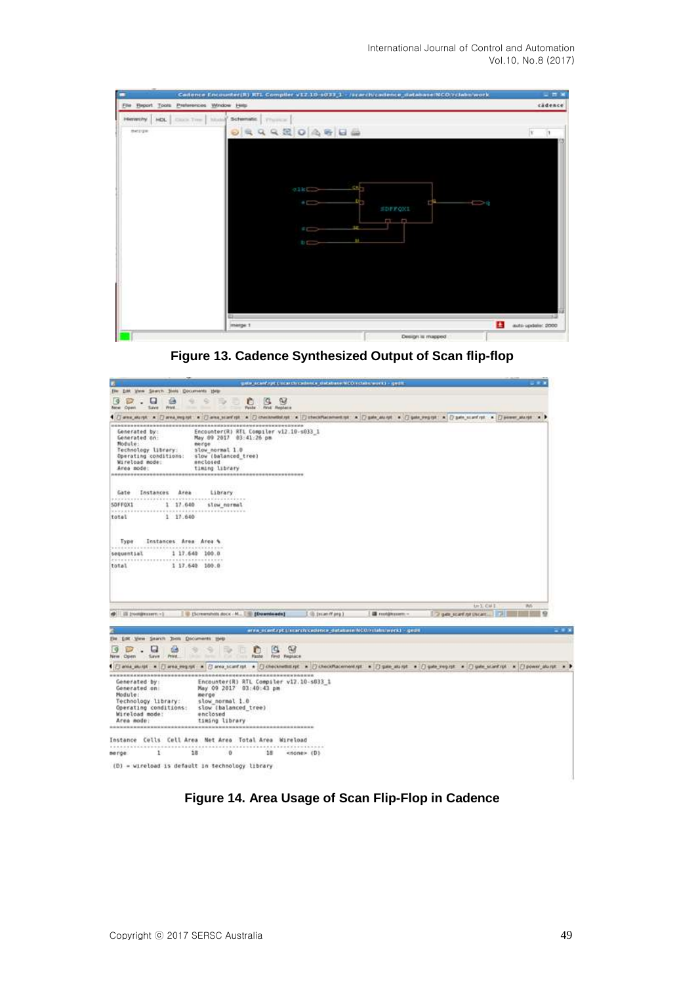International Journal of Control and Automation Vol.10, No.8 (2017)

| Cadence Encounter(R) RTL Compiler v12.10 ±033 1 - /scarchicadence_database NCO riciabs/work | $-$ 11 $\times$                             |
|---------------------------------------------------------------------------------------------|---------------------------------------------|
| Elle Beport Tools Preferences Window Help                                                   | cadence                                     |
| Henrichy HDL COOK Time Studied<br>Schematic.   Thursday<br>0 9 6 4 4 8 0 4 6 6<br>merge     |                                             |
| $_{\odot}$ ikes<br>$\frac{1}{2}$<br>$\sum$<br>$b \rightarrow$<br><b>STAR</b><br>merge 1     | ra —<br>ġ<br>-62<br>£.<br>auto spdate: 2000 |
|                                                                                             | Design is mapped.                           |

<span id="page-8-0"></span>**Figure 13. Cadence Synthesized Output of Scan flip-flop**



**Figure 14. Area Usage of Scan Flip-Flop in Cadence**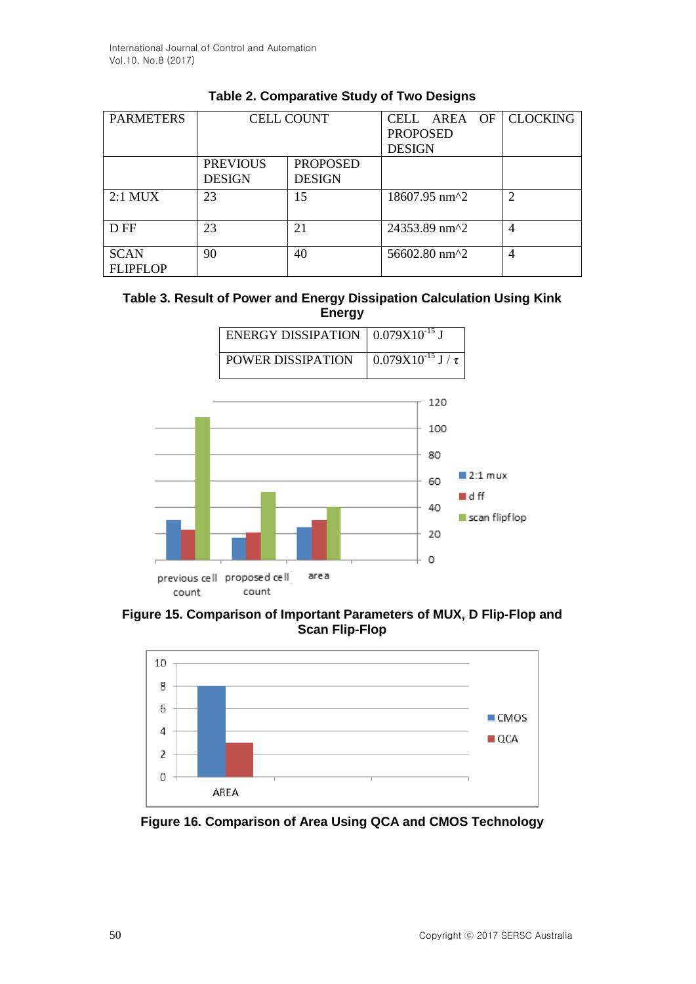| <b>PARMETERS</b>               | <b>CELL COUNT</b>                |                                  | CELL AREA OF CLOCKING<br><b>PROPOSED</b><br><b>DESIGN</b> |                             |
|--------------------------------|----------------------------------|----------------------------------|-----------------------------------------------------------|-----------------------------|
|                                | <b>PREVIOUS</b><br><b>DESIGN</b> | <b>PROPOSED</b><br><b>DESIGN</b> |                                                           |                             |
| $2:1$ MUX                      | 23                               | 15                               | 18607.95 nm^2                                             | $\mathcal{D}_{\mathcal{L}}$ |
| D FF                           | 23                               | 21                               | 24353.89 nm <sup>2</sup>                                  | 4                           |
| <b>SCAN</b><br><b>FLIPFLOP</b> | 90                               | 40                               | 56602.80 nm^2                                             | 4                           |

# **Table 2. Comparative Study of Two Designs**

### **Table 3. Result of Power and Energy Dissipation Calculation Using Kink Energy**

| ENERGY DISSIPATION $\vert 0.079X10^{-15}$ J |                             |
|---------------------------------------------|-----------------------------|
| POWER DISSIPATION                           | $0.079X10^{-15}$ J / $\tau$ |



**Figure 15. Comparison of Important Parameters of MUX, D Flip-Flop and Scan Flip-Flop**



**Figure 16. Comparison of Area Using QCA and CMOS Technology**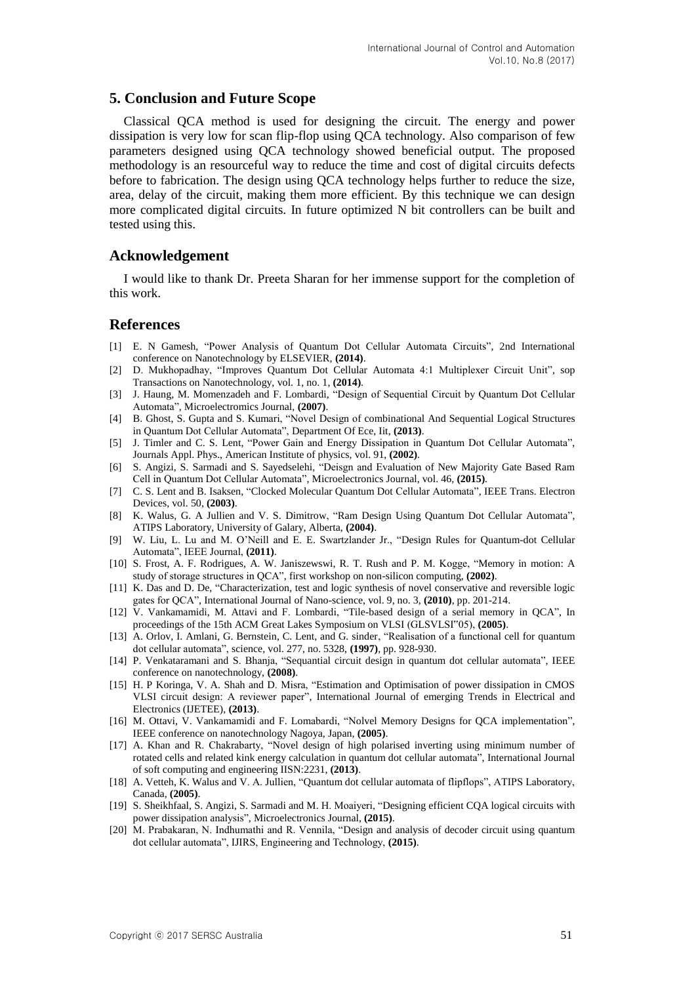### **5. Conclusion and Future Scope**

Classical QCA method is used for designing the circuit. The energy and power dissipation is very low for scan flip-flop using QCA technology. Also comparison of few parameters designed using QCA technology showed beneficial output. The proposed methodology is an resourceful way to reduce the time and cost of digital circuits defects before to fabrication. The design using QCA technology helps further to reduce the size, area, delay of the circuit, making them more efficient. By this technique we can design more complicated digital circuits. In future optimized N bit controllers can be built and tested using this.

## **Acknowledgement**

I would like to thank Dr. Preeta Sharan for her immense support for the completion of this work.

#### **References**

- [1] E. N Gamesh, "Power Analysis of Quantum Dot Cellular Automata Circuits", 2nd International conference on Nanotechnology by ELSEVIER, **(2014)**.
- [2] D. Mukhopadhay, "Improves Quantum Dot Cellular Automata 4:1 Multiplexer Circuit Unit", sop Transactions on Nanotechnology, vol. 1, no. 1, **(2014)**.
- [3] J. Haung, M. Momenzadeh and F. Lombardi, "Design of Sequential Circuit by Quantum Dot Cellular Automata", Microelectromics Journal, **(2007)**.
- [4] B. Ghost, S. Gupta and S. Kumari, "Novel Design of combinational And Sequential Logical Structures in Quantum Dot Cellular Automata", Department Of Ece, Iit, **(2013)**.
- [5] J. Timler and C. S. Lent, "Power Gain and Energy Dissipation in Quantum Dot Cellular Automata", Journals Appl. Phys., American Institute of physics, vol. 91, **(2002)**.
- [6] S. Angizi, S. Sarmadi and S. Sayedselehi, "Deisgn and Evaluation of New Majority Gate Based Ram Cell in Quantum Dot Cellular Automata", Microelectronics Journal, vol. 46, **(2015)**.
- [7] C. S. Lent and B. Isaksen, "Clocked Molecular Quantum Dot Cellular Automata", IEEE Trans. Electron Devices, vol. 50, **(2003)**.
- [8] K. Walus, G. A Jullien and V. S. Dimitrow, "Ram Design Using Quantum Dot Cellular Automata", ATIPS Laboratory, University of Galary, Alberta, **(2004)**.
- [9] W. Liu, L. Lu and M. O"Neill and E. E. Swartzlander Jr., "Design Rules for Quantum-dot Cellular Automata", IEEE Journal, **(2011)**.
- [10] S. Frost, A. F. Rodrigues, A. W. Janiszewswi, R. T. Rush and P. M. Kogge, "Memory in motion: A study of storage structures in QCA", first workshop on non-silicon computing, **(2002)**.
- [11] K. Das and D. De, "Characterization, test and logic synthesis of novel conservative and reversible logic gates for QCA", International Journal of Nano-science, vol. 9, no. 3, **(2010)**, pp. 201-214.
- [12] V. Vankamamidi, M. Attavi and F. Lombardi, "Tile-based design of a serial memory in QCA", In proceedings of the 15th ACM Great Lakes Symposium on VLSI (GLSVLSI"05), **(2005)**.
- [13] A. Orlov, I. Amlani, G. Bernstein, C. Lent, and G. sinder, "Realisation of a functional cell for quantum dot cellular automata", science, vol. 277, no. 5328, **(1997)**, pp. 928-930.
- [14] P. Venkataramani and S. Bhanja, "Sequantial circuit design in quantum dot cellular automata", IEEE conference on nanotechnology, **(2008)**.
- [15] H. P Koringa, V. A. Shah and D. Misra, "Estimation and Optimisation of power dissipation in CMOS VLSI circuit design: A reviewer paper", International Journal of emerging Trends in Electrical and Electronics (IJETEE), **(2013)**.
- [16] M. Ottavi, V. Vankamamidi and F. Lomabardi, "Nolvel Memory Designs for QCA implementation", IEEE conference on nanotechnology Nagoya, Japan, **(2005)**.
- [17] A. Khan and R. Chakrabarty, "Novel design of high polarised inverting using minimum number of rotated cells and related kink energy calculation in quantum dot cellular automata", International Journal of soft computing and engineering IISN:2231, **(2013)**.
- [18] A. Vetteh, K. Walus and V. A. Jullien, "Quantum dot cellular automata of flipflops", ATIPS Laboratory, Canada, **(2005)**.
- [19] S. Sheikhfaal, S. Angizi, S. Sarmadi and M. H. Moaiyeri, "Designing efficient CQA logical circuits with power dissipation analysis", Microelectronics Journal, **(2015)**.
- [20] M. Prabakaran, N. Indhumathi and R. Vennila, "Design and analysis of decoder circuit using quantum dot cellular automata", IJIRS, Engineering and Technology, **(2015)**.